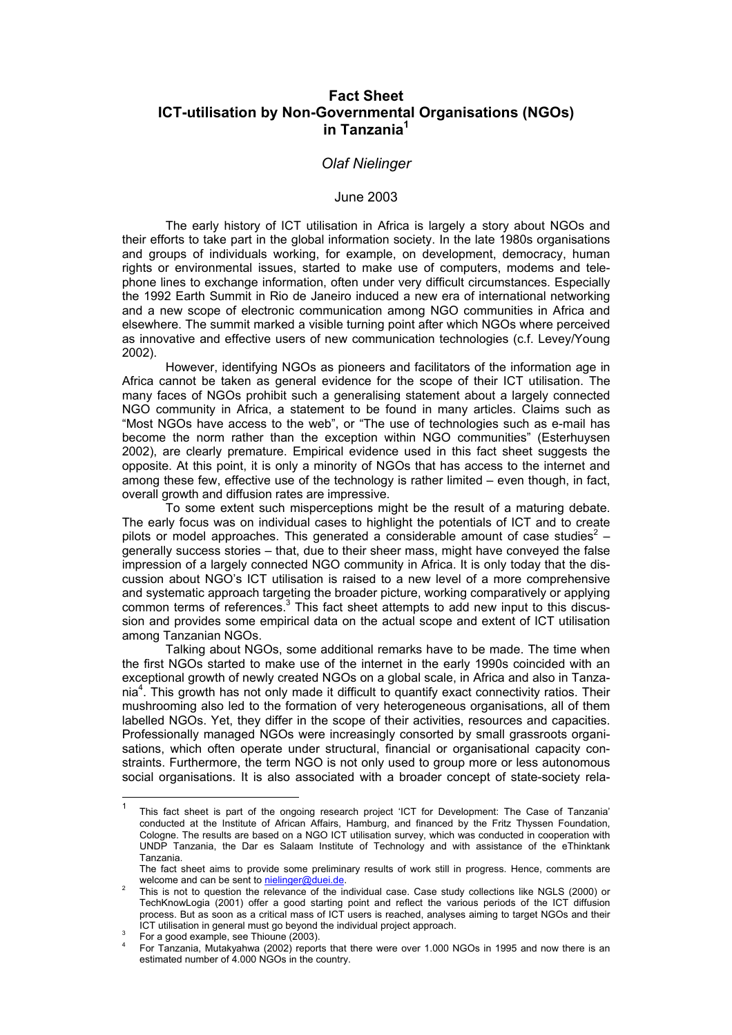# **Fact Sheet ICT-utilisation by Non-Governmental Organisations (NGOs) in Tanzani[a1](#page-0-0)**

## *Olaf Nielinger*

#### June 2003

 The early history of ICT utilisation in Africa is largely a story about NGOs and their efforts to take part in the global information society. In the late 1980s organisations and groups of individuals working, for example, on development, democracy, human rights or environmental issues, started to make use of computers, modems and telephone lines to exchange information, often under very difficult circumstances. Especially the 1992 Earth Summit in Rio de Janeiro induced a new era of international networking and a new scope of electronic communication among NGO communities in Africa and elsewhere. The summit marked a visible turning point after which NGOs where perceived as innovative and effective users of new communication technologies (c.f. Levey/Young 2002).

However, identifying NGOs as pioneers and facilitators of the information age in Africa cannot be taken as general evidence for the scope of their ICT utilisation. The many faces of NGOs prohibit such a generalising statement about a largely connected NGO community in Africa, a statement to be found in many articles. Claims such as "Most NGOs have access to the web", or "The use of technologies such as e-mail has become the norm rather than the exception within NGO communities" (Esterhuysen 2002), are clearly premature. Empirical evidence used in this fact sheet suggests the opposite. At this point, it is only a minority of NGOs that has access to the internet and among these few, effective use of the technology is rather limited – even though, in fact, overall growth and diffusion rates are impressive.

 To some extent such misperceptions might be the result of a maturing debate. The early focus was on individual cases to highlight the potentials of ICT and to create pilots or model approaches. This generated a considerable amount of case studies<sup>[2](#page-0-1)</sup> – generally success stories – that, due to their sheer mass, might have conveyed the false impression of a largely connected NGO community in Africa. It is only today that the discussion about NGO's ICT utilisation is raised to a new level of a more comprehensive and systematic approach targeting the broader picture, working comparatively or applying common terms of references.<sup>[3](#page-0-2)</sup> This fact sheet attempts to add new input to this discussion and provides some empirical data on the actual scope and extent of ICT utilisation among Tanzanian NGOs.

Talking about NGOs, some additional remarks have to be made. The time when the first NGOs started to make use of the internet in the early 1990s coincided with an exceptional growth of newly created NGOs on a global scale, in Africa and also in Tanza-nia<sup>[4](#page-0-3)</sup>. This growth has not only made it difficult to quantify exact connectivity ratios. Their mushrooming also led to the formation of very heterogeneous organisations, all of them labelled NGOs. Yet, they differ in the scope of their activities, resources and capacities. Professionally managed NGOs were increasingly consorted by small grassroots organisations, which often operate under structural, financial or organisational capacity constraints. Furthermore, the term NGO is not only used to group more or less autonomous social organisations. It is also associated with a broader concept of state-society rela-

<span id="page-0-0"></span> $\overline{1}$ This fact sheet is part of the ongoing research project 'ICT for Development: The Case of Tanzania' conducted at the Institute of African Affairs, Hamburg, and financed by the Fritz Thyssen Foundation, Cologne. The results are based on a NGO ICT utilisation survey, which was conducted in cooperation with UNDP Tanzania, the Dar es Salaam Institute of Technology and with assistance of the eThinktank Tanzania.

The fact sheet aims to provide some preliminary results of work still in progress. Hence, comments are welcome and can be sent to [nielinger@duei.de.](mailto:nielinger@duei.de)

<span id="page-0-1"></span>This is not to question the relevance of the individual case. Case study collections like NGLS (2000) or TechKnowLogia (2001) offer a good starting point and reflect the various periods of the ICT diffusion process. But as soon as a critical mass of ICT users is reached, analyses aiming to target NGOs and their ICT utilisation in general must go beyond the individual project approach.

<span id="page-0-2"></span>For a good example, see Thioune (2003).

<span id="page-0-3"></span><sup>4</sup> For Tanzania, Mutakyahwa (2002) reports that there were over 1.000 NGOs in 1995 and now there is an estimated number of 4.000 NGOs in the country.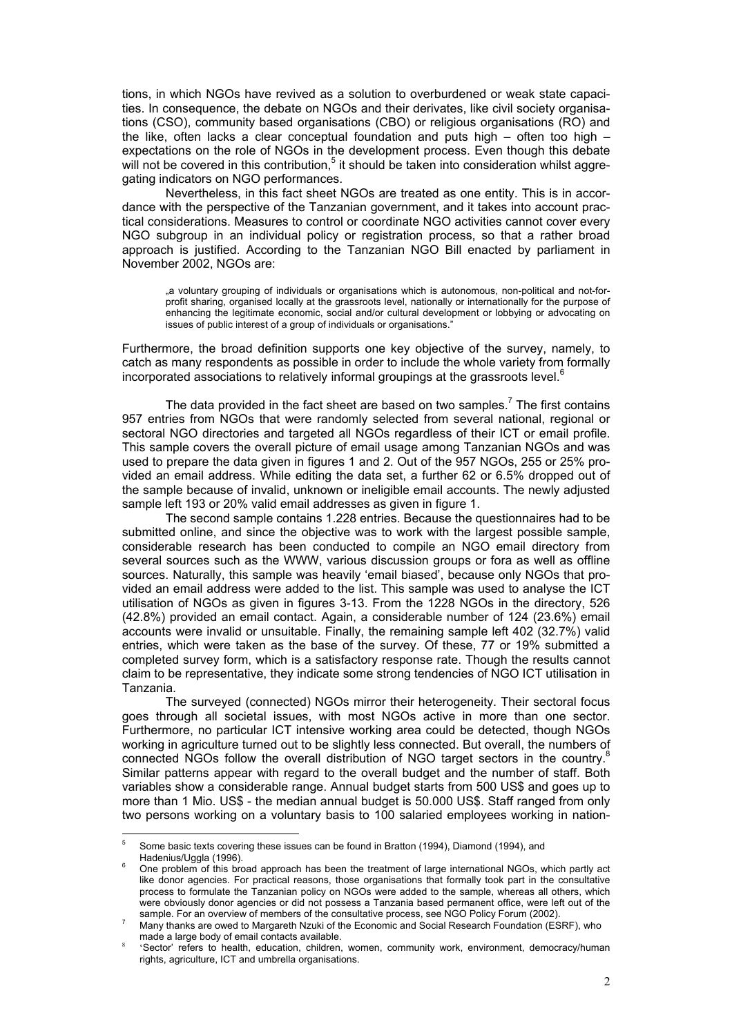tions, in which NGOs have revived as a solution to overburdened or weak state capacities. In consequence, the debate on NGOs and their derivates, like civil society organisations (CSO), community based organisations (CBO) or religious organisations (RO) and the like, often lacks a clear conceptual foundation and puts high – often too high – expectations on the role of NGOs in the development process. Even though this debate will not be covered in this contribution,<sup>[5](#page-1-0)</sup> it should be taken into consideration whilst aggregating indicators on NGO performances.

Nevertheless, in this fact sheet NGOs are treated as one entity. This is in accordance with the perspective of the Tanzanian government, and it takes into account practical considerations. Measures to control or coordinate NGO activities cannot cover every NGO subgroup in an individual policy or registration process, so that a rather broad approach is justified. According to the Tanzanian NGO Bill enacted by parliament in November 2002, NGOs are:

.a voluntary grouping of individuals or organisations which is autonomous, non-political and not-forprofit sharing, organised locally at the grassroots level, nationally or internationally for the purpose of enhancing the legitimate economic, social and/or cultural development or lobbying or advocating on issues of public interest of a group of individuals or organisations."

Furthermore, the broad definition supports one key objective of the survey, namely, to catch as many respondents as possible in order to include the whole variety from formally incorporated associations to relatively informal groupings at the grassroots level. $6$ 

The data provided in the fact sheet are based on two samples.<sup>[7](#page-1-2)</sup> The first contains 957 entries from NGOs that were randomly selected from several national, regional or sectoral NGO directories and targeted all NGOs regardless of their ICT or email profile. This sample covers the overall picture of email usage among Tanzanian NGOs and was used to prepare the data given in figures 1 and 2. Out of the 957 NGOs, 255 or 25% provided an email address. While editing the data set, a further 62 or 6.5% dropped out of the sample because of invalid, unknown or ineligible email accounts. The newly adjusted sample left 193 or 20% valid email addresses as given in figure 1.

The second sample contains 1.228 entries. Because the questionnaires had to be submitted online, and since the objective was to work with the largest possible sample, considerable research has been conducted to compile an NGO email directory from several sources such as the WWW, various discussion groups or fora as well as offline sources. Naturally, this sample was heavily 'email biased', because only NGOs that provided an email address were added to the list. This sample was used to analyse the ICT utilisation of NGOs as given in figures 3-13. From the 1228 NGOs in the directory, 526 (42.8%) provided an email contact. Again, a considerable number of 124 (23.6%) email accounts were invalid or unsuitable. Finally, the remaining sample left 402 (32.7%) valid entries, which were taken as the base of the survey. Of these, 77 or 19% submitted a completed survey form, which is a satisfactory response rate. Though the results cannot claim to be representative, they indicate some strong tendencies of NGO ICT utilisation in Tanzania.

The surveyed (connected) NGOs mirror their heterogeneity. Their sectoral focus goes through all societal issues, with most NGOs active in more than one sector. Furthermore, no particular ICT intensive working area could be detected, though NGOs working in agriculture turned out to be slightly less connected. But overall, the numbers of connected NGOs follow the overall distribution of NGO target sectors in the country.<sup>8</sup> Similar patterns appear with regard to the overall budget and the number of staff. Both variables show a considerable range. Annual budget starts from 500 US\$ and goes up to more than 1 Mio. US\$ - the median annual budget is 50.000 US\$. Staff ranged from only two persons working on a voluntary basis to 100 salaried employees working in nation-

 $\overline{a}$ 

<span id="page-1-0"></span><sup>5</sup> Some basic texts covering these issues can be found in Bratton (1994), Diamond (1994), and Hadenius/Uggla (1996).

<span id="page-1-1"></span>One problem of this broad approach has been the treatment of large international NGOs, which partly act like donor agencies. For practical reasons, those organisations that formally took part in the consultative process to formulate the Tanzanian policy on NGOs were added to the sample, whereas all others, which were obviously donor agencies or did not possess a Tanzania based permanent office, were left out of the sample. For an overview of members of the consultative process, see NGO Policy Forum (2002).

<span id="page-1-2"></span>Many thanks are owed to Margareth Nzuki of the Economic and Social Research Foundation (ESRF), who made a large body of email contacts available.

<span id="page-1-3"></span><sup>8</sup> 'Sector' refers to health, education, children, women, community work, environment, democracy/human rights, agriculture, ICT and umbrella organisations.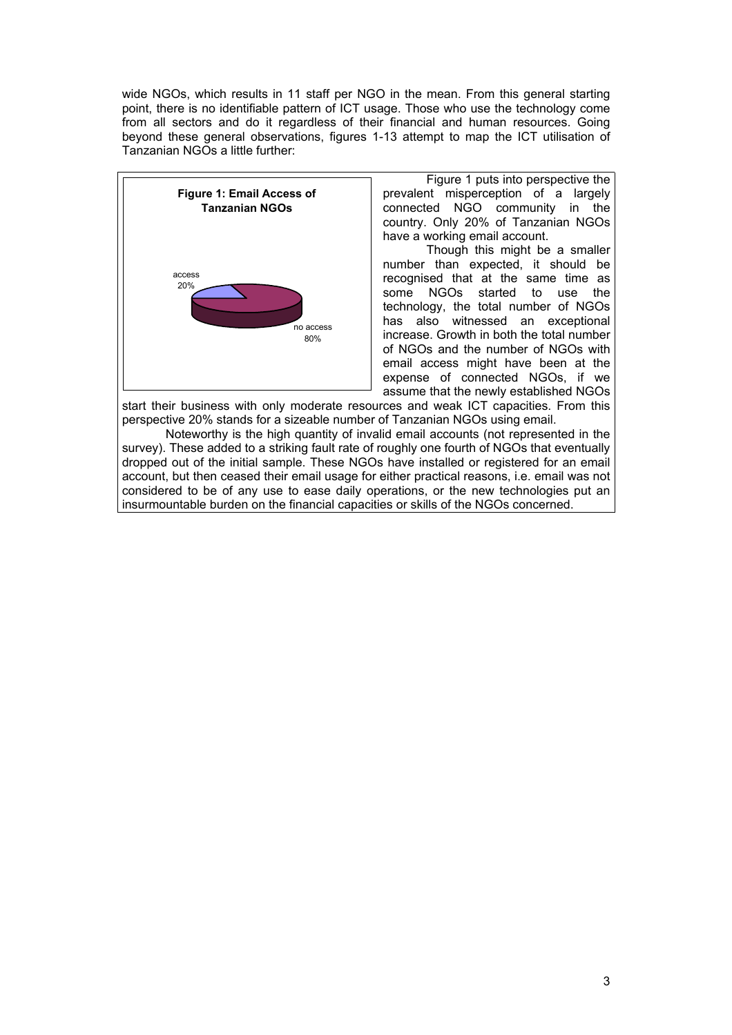wide NGOs, which results in 11 staff per NGO in the mean. From this general starting point, there is no identifiable pattern of ICT usage. Those who use the technology come from all sectors and do it regardless of their financial and human resources. Going beyond these general observations, figures 1-13 attempt to map the ICT utilisation of Tanzanian NGOs a little further:



Figure 1 puts into perspective the prevalent misperception of a largely connected NGO community in the country. Only 20% of Tanzanian NGOs have a working email account.

Though this might be a smaller number than expected, it should be recognised that at the same time as some NGOs started to use the technology, the total number of NGOs has also witnessed an exceptional increase. Growth in both the total number of NGOs and the number of NGOs with email access might have been at the expense of connected NGOs, if we assume that the newly established NGOs

start their business with only moderate resources and weak ICT capacities. From this perspective 20% stands for a sizeable number of Tanzanian NGOs using email.

Noteworthy is the high quantity of invalid email accounts (not represented in the survey). These added to a striking fault rate of roughly one fourth of NGOs that eventually dropped out of the initial sample. These NGOs have installed or registered for an email account, but then ceased their email usage for either practical reasons, i.e. email was not considered to be of any use to ease daily operations, or the new technologies put an insurmountable burden on the financial capacities or skills of the NGOs concerned.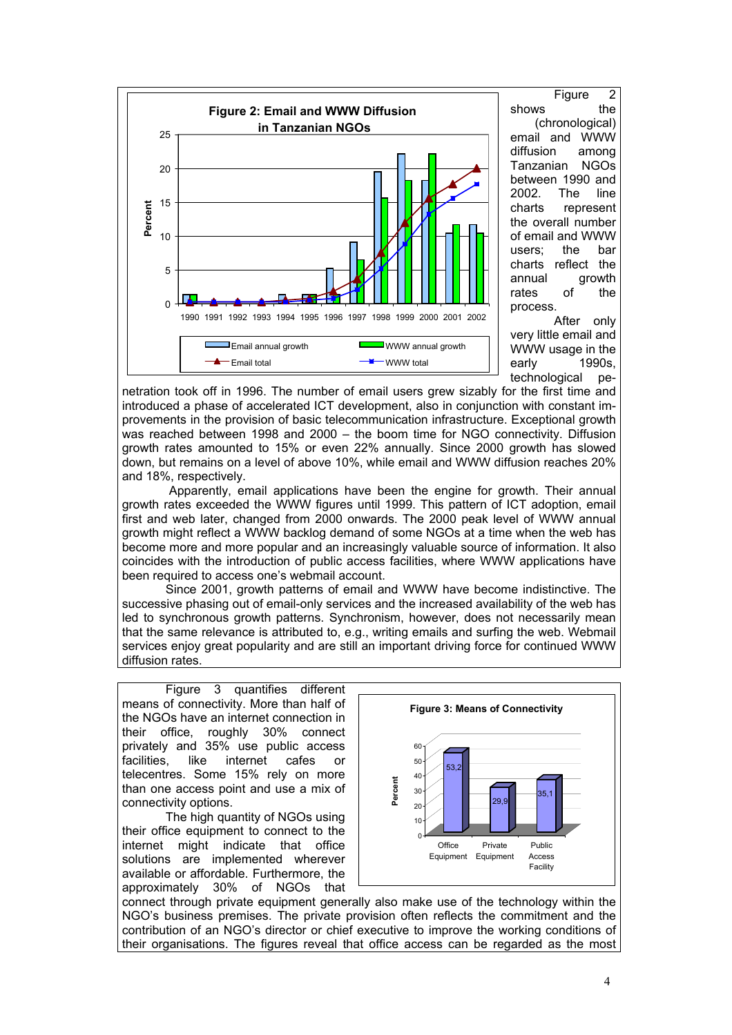

 Figure 2 shows the (chronological) email and WWW diffusion among Tanzanian NGOs between 1990 and 2002. The line charts represent the overall number of email and WWW users; the bar charts reflect the annual growth rates of the process.

 After only very little email and WWW usage in the early 1990s, technological pe-

netration took off in 1996. The number of email users grew sizably for the first time and introduced a phase of accelerated ICT development, also in conjunction with constant improvements in the provision of basic telecommunication infrastructure. Exceptional growth was reached between 1998 and 2000 – the boom time for NGO connectivity. Diffusion growth rates amounted to 15% or even 22% annually. Since 2000 growth has slowed down, but remains on a level of above 10%, while email and WWW diffusion reaches 20% and 18%, respectively.

Apparently, email applications have been the engine for growth. Their annual growth rates exceeded the WWW figures until 1999. This pattern of ICT adoption, email first and web later, changed from 2000 onwards. The 2000 peak level of WWW annual growth might reflect a WWW backlog demand of some NGOs at a time when the web has become more and more popular and an increasingly valuable source of information. It also coincides with the introduction of public access facilities, where WWW applications have been required to access one's webmail account.

Since 2001, growth patterns of email and WWW have become indistinctive. The successive phasing out of email-only services and the increased availability of the web has led to synchronous growth patterns. Synchronism, however, does not necessarily mean that the same relevance is attributed to, e.g., writing emails and surfing the web. Webmail services enjoy great popularity and are still an important driving force for continued WWW diffusion rates.

Figure 3 quantifies different means of connectivity. More than half of the NGOs have an internet connection in their office, roughly 30% connect privately and 35% use public access facilities, like internet cafes or telecentres. Some 15% rely on more than one access point and use a mix of connectivity options.

The high quantity of NGOs using their office equipment to connect to the internet might indicate that office solutions are implemented wherever available or affordable. Furthermore, the approximately 30% of NGOs that



connect through private equipment generally also make use of the technology within the NGO's business premises. The private provision often reflects the commitment and the contribution of an NGO's director or chief executive to improve the working conditions of their organisations. The figures reveal that office access can be regarded as the most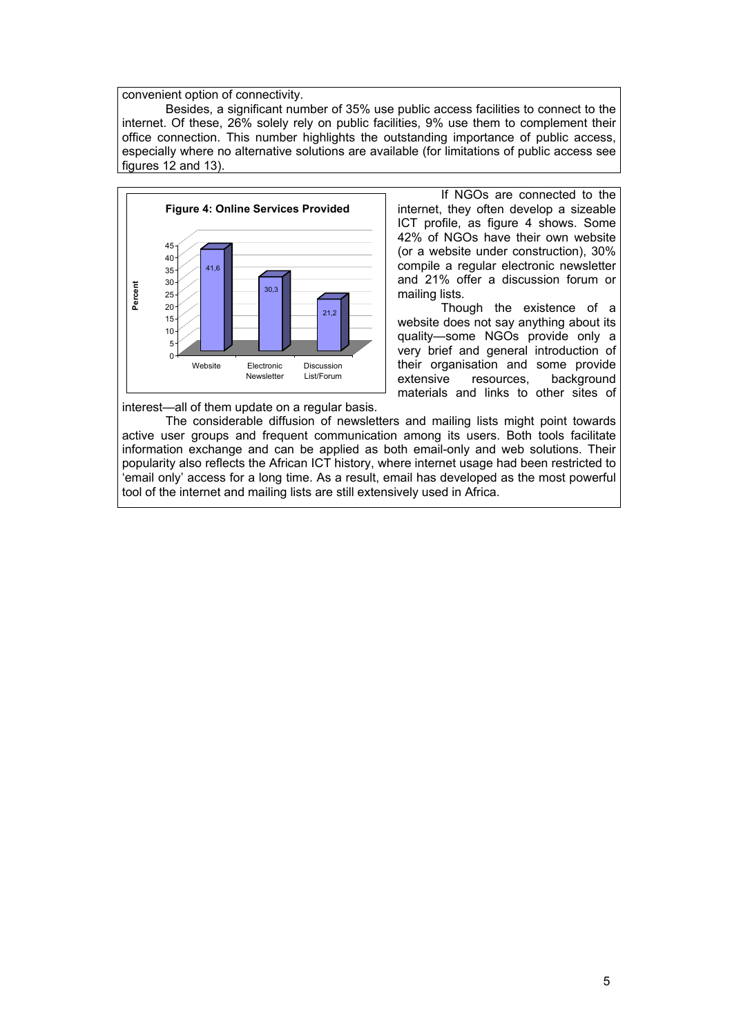convenient option of connectivity.

Besides, a significant number of 35% use public access facilities to connect to the internet. Of these, 26% solely rely on public facilities, 9% use them to complement their office connection. This number highlights the outstanding importance of public access, especially where no alternative solutions are available (for limitations of public access see figures 12 and 13).



If NGOs are connected to the internet, they often develop a sizeable ICT profile, as figure 4 shows. Some 42% of NGOs have their own website (or a website under construction), 30% compile a regular electronic newsletter and 21% offer a discussion forum or mailing lists.

Though the existence of a website does not say anything about its quality—some NGOs provide only a very brief and general introduction of their organisation and some provide extensive resources, background materials and links to other sites of

interest—all of them update on a regular basis.

The considerable diffusion of newsletters and mailing lists might point towards active user groups and frequent communication among its users. Both tools facilitate information exchange and can be applied as both email-only and web solutions. Their popularity also reflects the African ICT history, where internet usage had been restricted to 'email only' access for a long time. As a result, email has developed as the most powerful tool of the internet and mailing lists are still extensively used in Africa.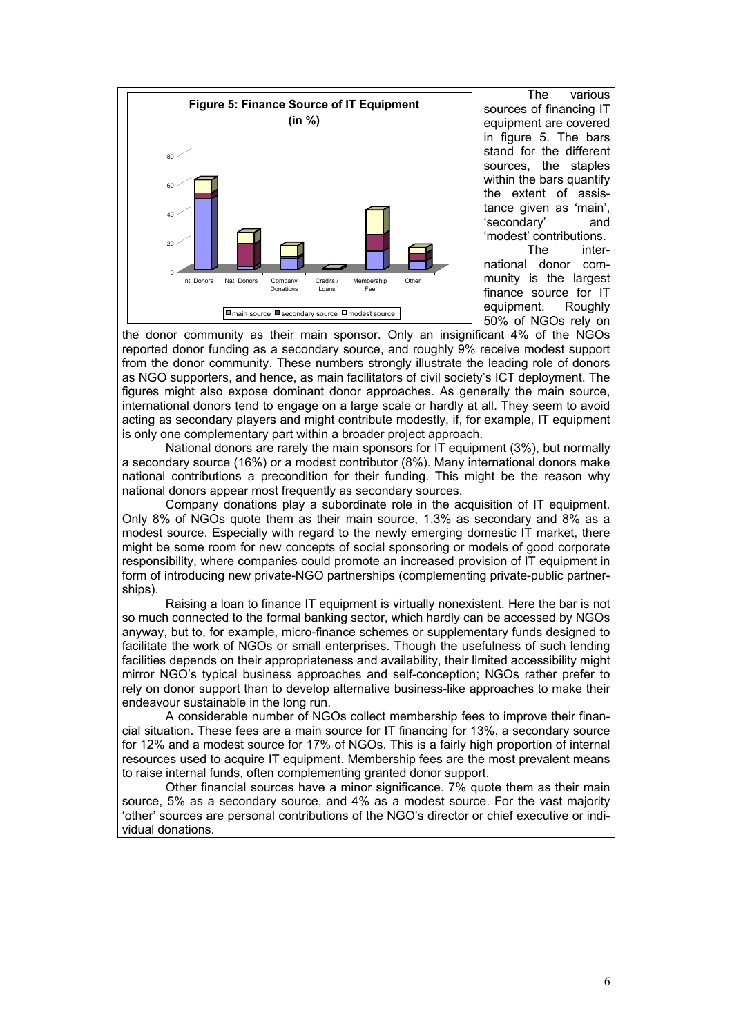

The various sources of financing IT equipment are covered in figure 5. The bars stand for the different sources, the staples within the bars quantify the extent of assistance given as 'main', 'secondary' and 'modest' contributions. international donor community is the largest finance source for IT equipment. Roughly

50% of NGOs rely on

the donor community as their main sponsor. Only an insignificant 4% of the NGOs reported donor funding as a secondary source, and roughly 9% receive modest support from the donor community. These numbers strongly illustrate the leading role of donors as NGO supporters, and hence, as main facilitators of civil society's ICT deployment. The figures might also expose dominant donor approaches. As generally the main source, international donors tend to engage on a large scale or hardly at all. They seem to avoid acting as secondary players and might contribute modestly, if, for example, IT equipment is only one complementary part within a broader project approach.

National donors are rarely the main sponsors for IT equipment (3%), but normally a secondary source (16%) or a modest contributor (8%). Many international donors make national contributions a precondition for their funding. This might be the reason why national donors appear most frequently as secondary sources.

Company donations play a subordinate role in the acquisition of IT equipment. Only 8% of NGOs quote them as their main source, 1.3% as secondary and 8% as a modest source. Especially with regard to the newly emerging domestic IT market, there might be some room for new concepts of social sponsoring or models of good corporate responsibility, where companies could promote an increased provision of IT equipment in form of introducing new private-NGO partnerships (complementing private-public partnerships).

Raising a loan to finance IT equipment is virtually nonexistent. Here the bar is not so much connected to the formal banking sector, which hardly can be accessed by NGOs anyway, but to, for example, micro-finance schemes or supplementary funds designed to facilitate the work of NGOs or small enterprises. Though the usefulness of such lending facilities depends on their appropriateness and availability, their limited accessibility might mirror NGO's typical business approaches and self-conception; NGOs rather prefer to rely on donor support than to develop alternative business-like approaches to make their endeavour sustainable in the long run.

A considerable number of NGOs collect membership fees to improve their financial situation. These fees are a main source for IT financing for 13%, a secondary source for 12% and a modest source for 17% of NGOs. This is a fairly high proportion of internal resources used to acquire IT equipment. Membership fees are the most prevalent means to raise internal funds, often complementing granted donor support.

Other financial sources have a minor significance. 7% quote them as their main source, 5% as a secondary source, and 4% as a modest source. For the vast majority 'other' sources are personal contributions of the NGO's director or chief executive or individual donations.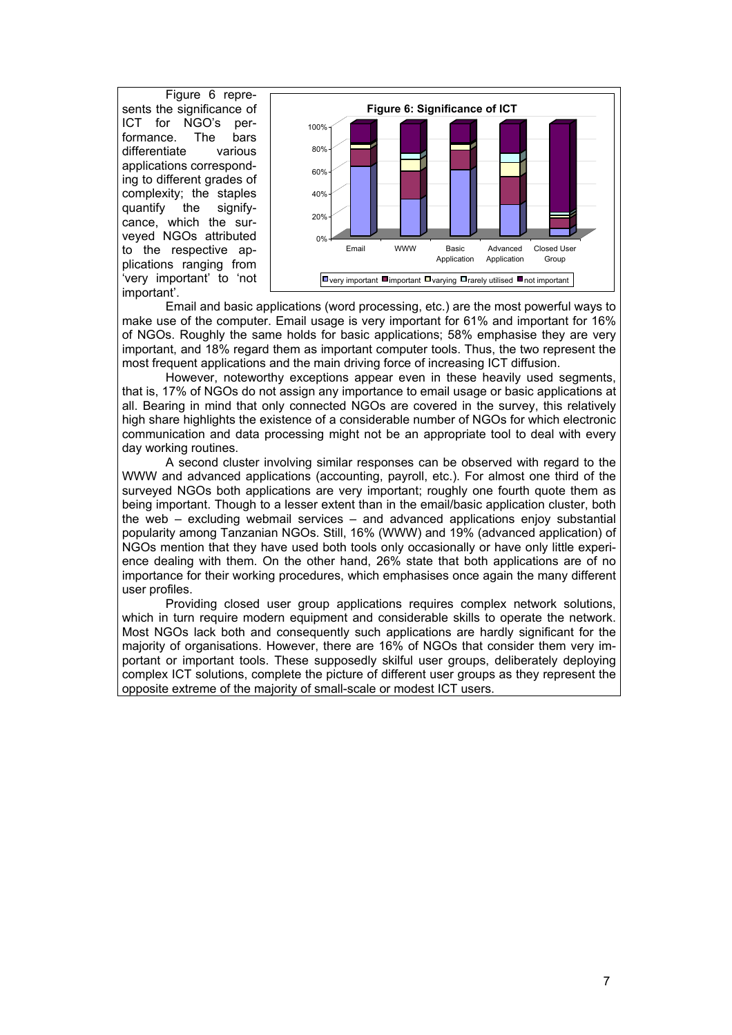Figure 6 represents the significance of ICT for NGO's performance. The bars differentiate various applications c orresponding to different grades of complexity; the staples quantify the signifycance, which the surveyed NGOs attributed to the respective applications ranging from 'very important' to 'not important'.



Ema il and basic applications (word processing, etc.) are the most powerful ways to make use of the computer. Email usage is very important for 61% and important for 16% of NGOs. Roughly the same holds for basic applications; 58% emphasise they are very important, and 18% regard them as important computer tools. Thus, the two represent the most frequent applications and the main driving force of increasing ICT diffusion.

However, noteworthy exceptions appear even in these heavily used segments, that is, 17% of NGOs do not assign any importance to email usage or basic applications at all. Bearing in mind that only connected NGOs are covered in the survey, this relatively high share highlights the existence of a considerable number of NGOs for which electronic communication and data processing might not be an appropriate tool to deal with every day working routines.

A second cluster involving similar responses can be observed with regard to the WW W and advanced applications (accounting, payroll, etc.). For almost one third of the surveyed NGOs both applications are very important; roughly one fourth quote them as being important. Though to a lesser extent than in the email/basic application cluster, both the web – excluding webmail services – and advanced applications enjoy substantial popularity among Tanzanian NGOs. Still, 16% (WWW) and 19% (advanced application) of NGOs mention that they have used both tools only occasionally or have only little experience dealing with them. On the other hand, 26% state that both applications are of no importance for their working procedures, which emphasises once again the many different user profiles.

Providing closed user group applications requires complex network solutions, which in turn require modern equipment and considerable skills to operate the network. Most NGOs lack both and consequently such applications are hardly significant for the majority of organisations. However, there are 16% of NGOs that consider them very important or important tools. These supposedly skilful user groups, deliberately deploying complex ICT solutions, complete the picture of different user groups as they represent the opposite extreme of the majority of small-scale or modest ICT users.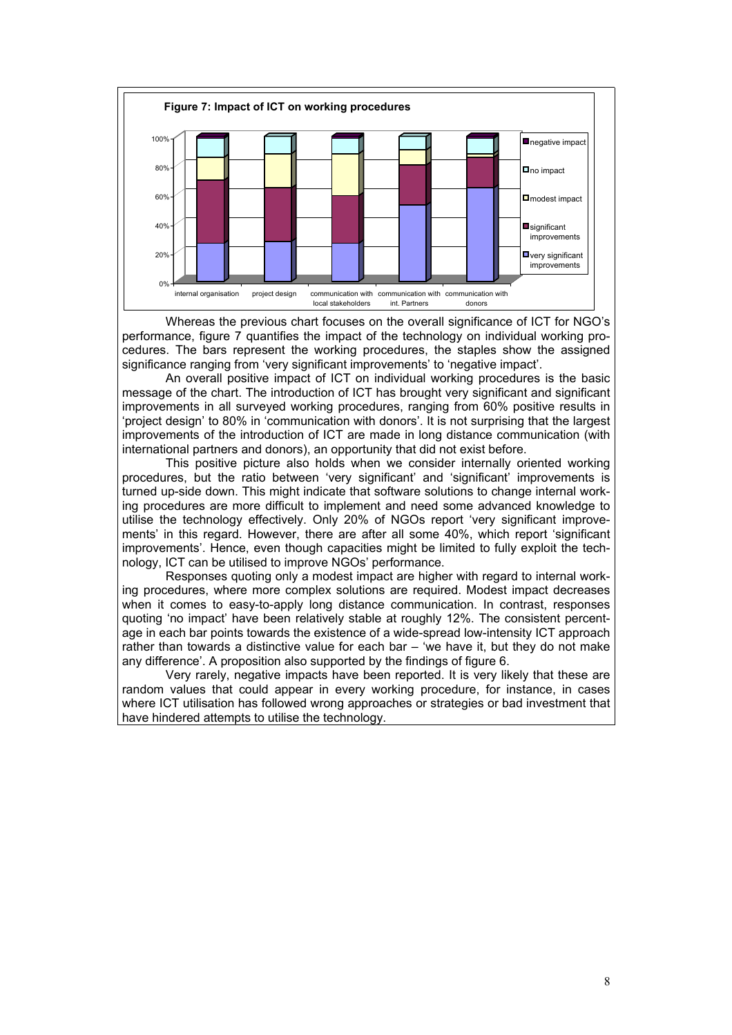

Whereas the previous chart focuses on the overall significance of ICT for NGO's performance, figure 7 quantifies the impact of the technology on individual working procedures. The bars represent the working procedures, the staples show the assigned significance ranging from 'very significant improvements' to 'negative impact'.

An overall positive impact of ICT on individual working procedures is the basic message of the chart. The introduction of ICT has brought very significant and significant improvements in all surveyed working procedures, ranging from 60% positive results in 'project design' to 80% in 'communication with donors'. It is not surprising that the largest improvements of the introduction of ICT are made in long distance communication (with international partners and donors), an opportunity that did not exist before.

This positive picture also holds when we consider internally oriented working procedures, but the ratio between 'very significant' and 'significant' improvements is turned up-side down. This might indicate that software solutions to change internal working procedures are more difficult to implement and need some advanced knowledge to utilise the technology effectively. Only 20% of NGOs report 'very significant improvements' in this regard. However, there are after all some 40%, which report 'significant improvements'. Hence, even though capacities might be limited to fully exploit the technology, ICT can be utilised to improve NGOs' performance.

Responses quoting only a modest impact are higher with regard to internal working procedures, where more complex solutions are required. Modest impact decreases when it comes to easy-to-apply long distance communication. In contrast, responses quoting 'no impact' have been relatively stable at roughly 12%. The consistent percentage in each bar points towards the existence of a wide-spread low-intensity ICT approach rather than towards a distinctive value for each bar – 'we have it, but they do not make any difference'. A proposition also supported by the findings of figure 6.

Very rarely, negative impacts have been reported. It is very likely that these are random values that could appear in every working procedure, for instance, in cases where ICT utilisation has followed wrong approaches or strategies or bad investment that have hindered attempts to utilise the technology.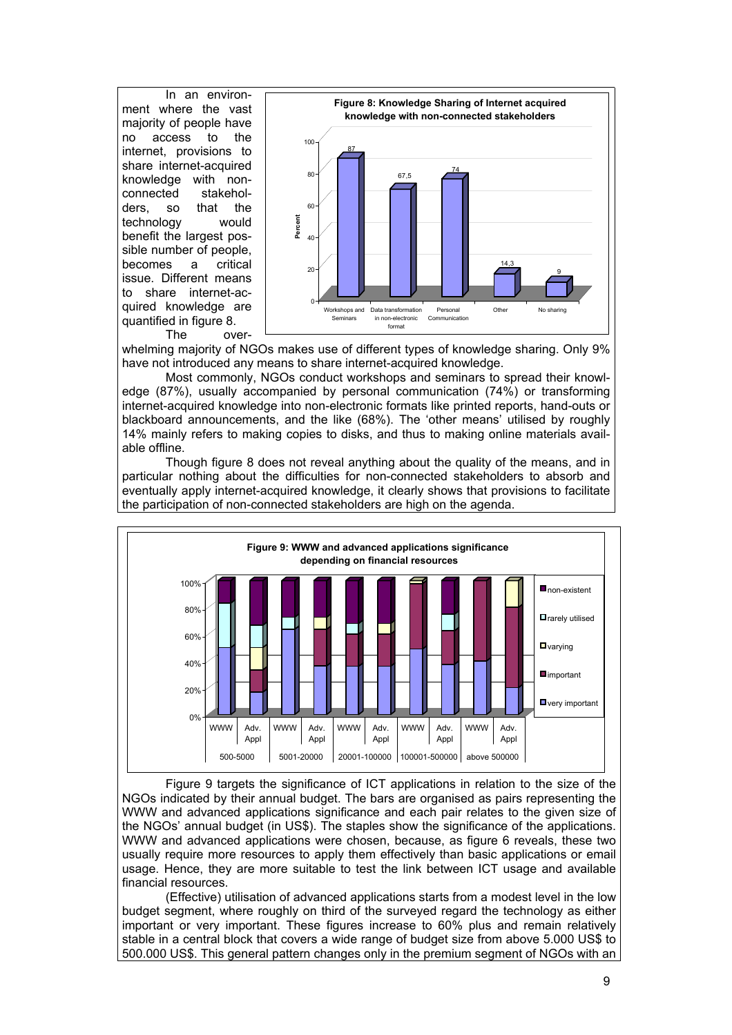In an environment where the vast majority of people have no access to the internet, provisions to share internet-acquired knowledge with nonconnected stakeholders, so that the technology would benefit the largest possible number of people, becomes a critical issue. Different means to share internet-acquired knowledge are quantified in figure 8. The over-



whelming majority of NGOs makes use of different types of knowledge sharing. Only 9% have not introduced any means to share internet-acquired knowledge.

Most commonly, NGOs conduct workshops and seminars to spread their knowledge (87%), usually accompanied by personal communication (74%) or transforming internet-acquired knowledge into non-electronic formats like printed reports, hand-outs or blackboard announcements, and the like (68%). The 'other means' utilised by roughly 14% mainly refers to making copies to disks, and thus to making online materials available offline.

Though figure 8 does not reveal anything about the quality of the means, and in particular nothing about the difficulties for non-connected stakeholders to absorb and eventually apply internet-acquired knowledge, it clearly shows that provisions to facilitate the participation of non-connected stakeholders are high on the agenda.



Figure 9 targets the significance of ICT applications in relation to the size of the NGOs indicated by their annual budget. The bars are organised as pairs representing the WWW and advanced applications significance and each pair relates to the given size of the NGOs' annual budget (in US\$). The staples show the significance of the applications. WWW and advanced applications were chosen, because, as figure 6 reveals, these two usually require more resources to apply them effectively than basic applications or email usage. Hence, they are more suitable to test the link between ICT usage and available financial resources.

(Effective) utilisation of advanced applications starts from a modest level in the low budget segment, where roughly on third of the surveyed regard the technology as either important or very important. These figures increase to 60% plus and remain relatively stable in a central block that covers a wide range of budget size from above 5.000 US\$ to 500.000 US\$. This general pattern changes only in the premium segment of NGOs with an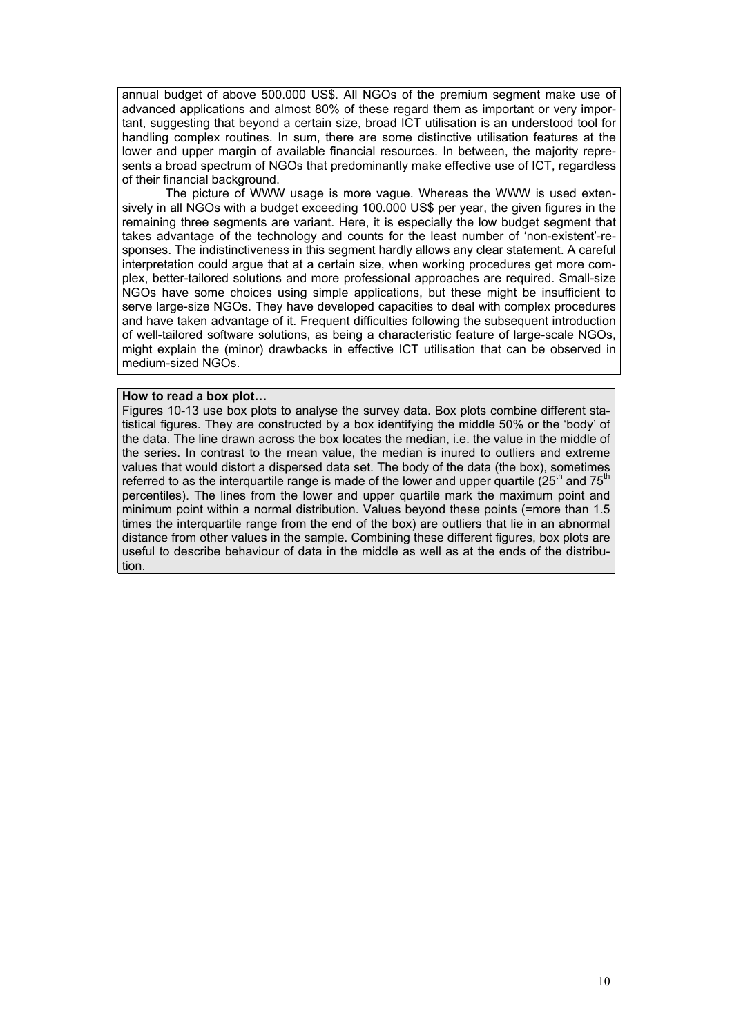annual budget of above 500.000 US\$. All NGOs of the premium segment make use of advanced applications and almost 80% of these regard them as important or very important, suggesting that beyond a certain size, broad ICT utilisation is an understood tool for handling complex routines. In sum, there are some distinctive utilisation features at the lower and upper margin of available financial resources. In between, the majority represents a broad spectrum of NGOs that predominantly make effective use of ICT, regardless of their financial background.

The picture of WWW usage is more vague. Whereas the WWW is used extensively in all NGOs with a budget exceeding 100.000 US\$ per year, the given figures in the remaining three segments are variant. Here, it is especially the low budget segment that takes advantage of the technology and counts for the least number of 'non-existent'-responses. The indistinctiveness in this segment hardly allows any clear statement. A careful interpretation could argue that at a certain size, when working procedures get more complex, better-tailored solutions and more professional approaches are required. Small-size NGOs have some choices using simple applications, but these might be insufficient to serve large-size NGOs. They have developed capacities to deal with complex procedures and have taken advantage of it. Frequent difficulties following the subsequent introduction of well-tailored software solutions, as being a characteristic feature of large-scale NGOs, might explain the (minor) drawbacks in effective ICT utilisation that can be observed in medium-sized NGOs.

#### **How to read a box plot…**

Figures 10-13 use box plots to analyse the survey data. Box plots combine different statistical figures. They are constructed by a box identifying the middle 50% or the 'body' of the data. The line drawn across the box locates the median, i.e. the value in the middle of the series. In contrast to the mean value, the median is inured to outliers and extreme values that would distort a dispersed data set. The body of the data (the box), sometimes referred to as the interquartile range is made of the lower and upper quartile  $(25<sup>th</sup>$  and  $75<sup>th</sup>$ percentiles). The lines from the lower and upper quartile mark the maximum point and minimum point within a normal distribution. Values beyond these points (=more than 1.5 times the interquartile range from the end of the box) are outliers that lie in an abnormal distance from other values in the sample. Combining these different figures, box plots are useful to describe behaviour of data in the middle as well as at the ends of the distribution.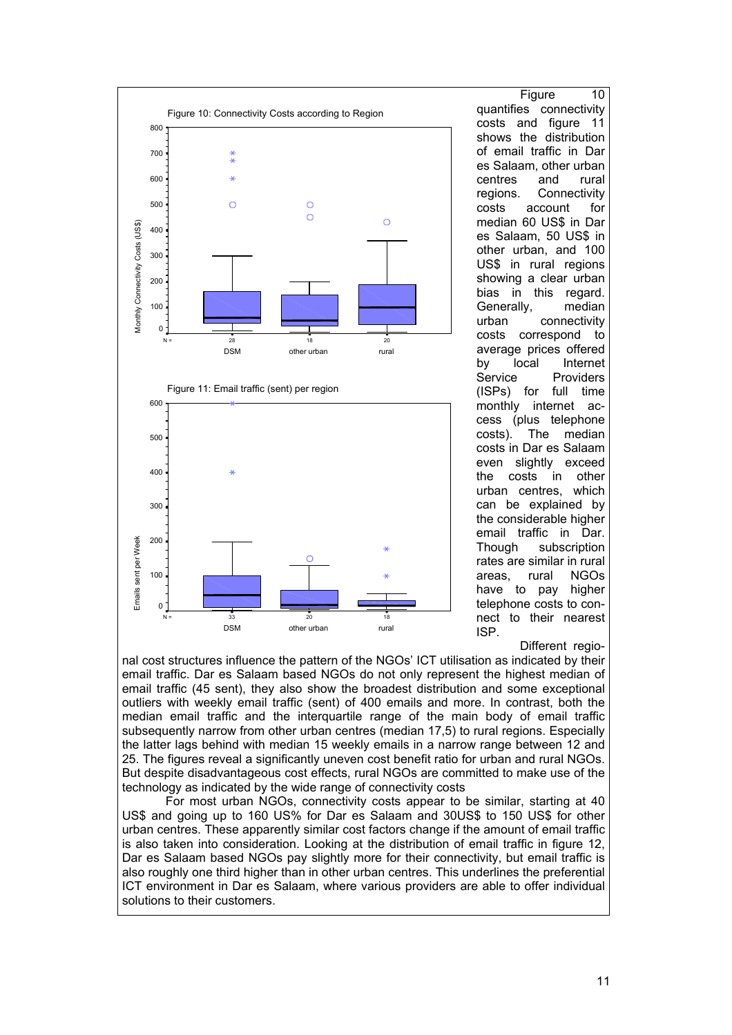

Figure 10 quantifies connectivity costs and figure 11 shows the distribution of email traffic in Dar es Salaam, other urban centres and rural regions. Connectivity costs account for median 60 US\$ in Dar es Salaam, 50 US\$ in other urban, and 100 US\$ in rural regions showing a clear urban bias in this regard. Generally, median urban connectivity costs correspond to average prices offered by local Internet Service Providers (ISPs) for full time monthly internet access (plus telephone costs). The median costs in Dar es Salaam even slightly exceed the costs in other urban centres, which can be explained by the considerable higher email traffic in Dar. Though subscription rates are similar in rural areas, rural NGOs have to pay higher telephone costs to connect to their nearest ISP.

#### Different regio-

nal cost structures influence the pattern of the NGOs' ICT utilisation as indicated by their email traffic. Dar es Salaam based NGOs do not only represent the highest median of email traffic (45 sent), they also show the broadest distribution and some exceptional outliers with weekly email traffic (sent) of 400 emails and more. In contrast, both the median email traffic and the interquartile range of the main body of email traffic subsequently narrow from other urban centres (median 17,5) to rural regions. Especially the latter lags behind with median 15 weekly emails in a narrow range between 12 and 25. The figures reveal a significantly uneven cost benefit ratio for urban and rural NGOs. But despite disadvantageous cost effects, rural NGOs are committed to make use of the technology as indicated by the wide range of connectivity costs

For most urban NGOs, connectivity costs appear to be similar, starting at 40 US\$ and going up to 160 US% for Dar es Salaam and 30US\$ to 150 US\$ for other urban centres. These apparently similar cost factors change if the amount of email traffic is also taken into consideration. Looking at the distribution of email traffic in figure 12, Dar es Salaam based NGOs pay slightly more for their connectivity, but email traffic is also roughly one third higher than in other urban centres. This underlines the preferential ICT environment in Dar es Salaam, where various providers are able to offer individual solutions to their customers.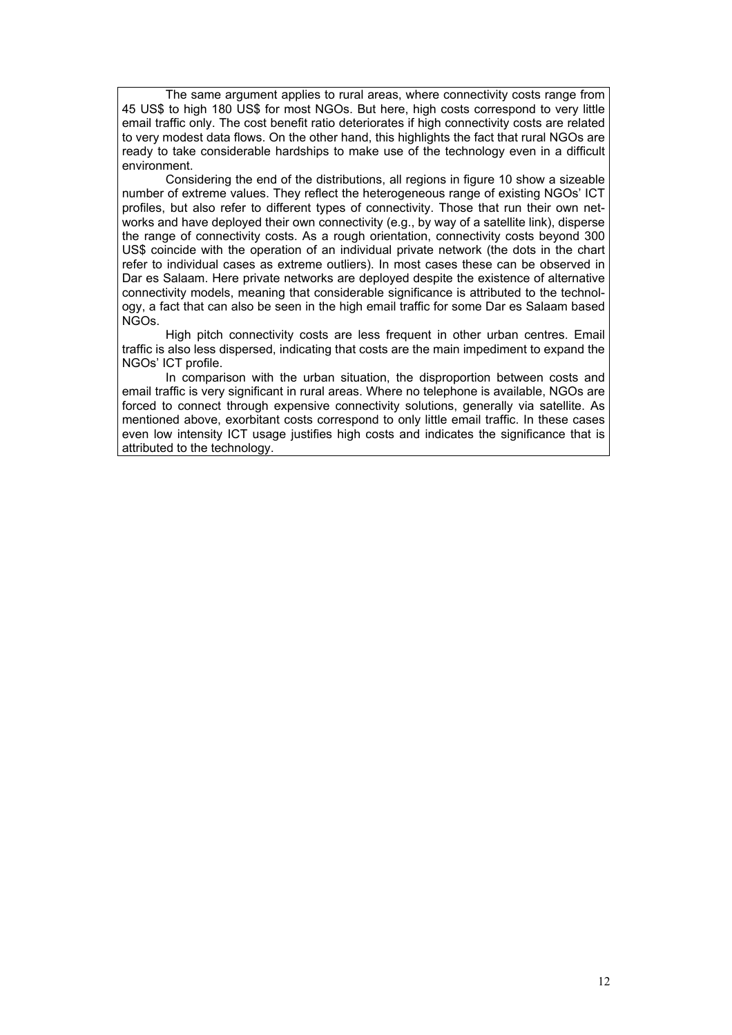The same argument applies to rural areas, where connectivity costs range from 45 US\$ to high 180 US\$ for most NGOs. But here, high costs correspond to very little email traffic only. The cost benefit ratio deteriorates if high connectivity costs are related to very modest data flows. On the other hand, this highlights the fact that rural NGOs are ready to take considerable hardships to make use of the technology even in a difficult environment.

Considering the end of the distributions, all regions in figure 10 show a sizeable number of extreme values. They reflect the heterogeneous range of existing NGOs' ICT profiles, but also refer to different types of connectivity. Those that run their own networks and have deployed their own connectivity (e.g., by way of a satellite link), disperse the range of connectivity costs. As a rough orientation, connectivity costs beyond 300 US\$ coincide with the operation of an individual private network (the dots in the chart refer to individual cases as extreme outliers). In most cases these can be observed in Dar es Salaam. Here private networks are deployed despite the existence of alternative connectivity models, meaning that considerable significance is attributed to the technology, a fact that can also be seen in the high email traffic for some Dar es Salaam based NGOs.

High pitch connectivity costs are less frequent in other urban centres. Email traffic is also less dispersed, indicating that costs are the main impediment to expand the NGOs' ICT profile.

In comparison with the urban situation, the disproportion between costs and email traffic is very significant in rural areas. Where no telephone is available, NGOs are forced to connect through expensive connectivity solutions, generally via satellite. As mentioned above, exorbitant costs correspond to only little email traffic. In these cases even low intensity ICT usage justifies high costs and indicates the significance that is attributed to the technology.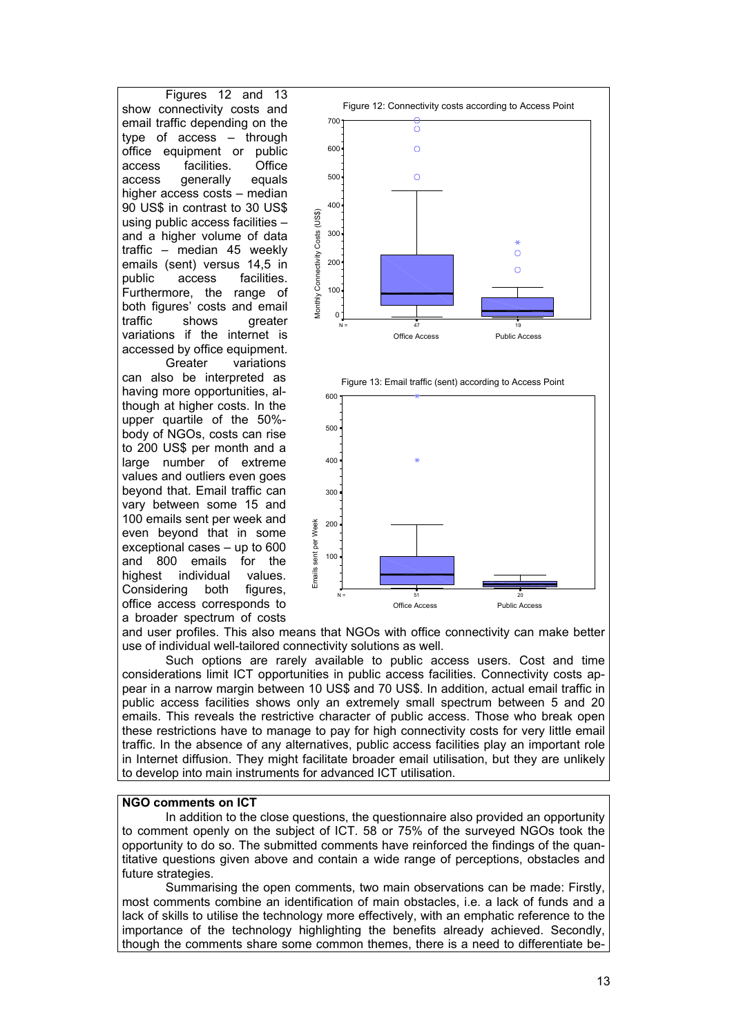Figures 12 and 13 show connectivity costs and email traffic depending on the type of access – through office equipment or public access facilities. Office access generally equals higher access costs – median 90 US\$ in contrast to 30 US\$ using public access facilities – and a higher volume of data traffic – median 45 weekly emails (sent) versus 14,5 in public access facilities. Furthermore, the range of both figures' costs and email traffic shows greater variations if the internet is accessed by office equipment.

 Greater variations can also be interpreted as having more opportunities, although at higher costs. In the upper quartile of the 50% body of NGOs, costs can rise to 200 US\$ per month and a large number of extreme values and outliers even goes beyond that. Email traffic can vary between some 15 and 100 emails sent per week and even beyond that in some exceptional cases – up to 600 and 800 emails for the highest individual values. Considering both figures, office access corresponds to a broader spectrum of costs







and user profiles. This also means that NGOs with office connectivity can make better use of individual well-tailored connectivity solutions as well.

Such options are rarely available to public access users. Cost and time considerations limit ICT opportunities in public access facilities. Connectivity costs appear in a narrow margin between 10 US\$ and 70 US\$. In addition, actual email traffic in public access facilities shows only an extremely small spectrum between 5 and 20 emails. This reveals the restrictive character of public access. Those who break open these restrictions have to manage to pay for high connectivity costs for very little email traffic. In the absence of any alternatives, public access facilities play an important role in Internet diffusion. They might facilitate broader email utilisation, but they are unlikely to develop into main instruments for advanced ICT utilisation.

#### **NGO comments on ICT**

In addition to the close questions, the questionnaire also provided an opportunity to comment openly on the subject of ICT. 58 or 75% of the surveyed NGOs took the opportunity to do so. The submitted comments have reinforced the findings of the quantitative questions given above and contain a wide range of perceptions, obstacles and future strategies.

Summarising the open comments, two main observations can be made: Firstly, most comments combine an identification of main obstacles, i.e. a lack of funds and a lack of skills to utilise the technology more effectively, with an emphatic reference to the importance of the technology highlighting the benefits already achieved. Secondly, though the comments share some common themes, there is a need to differentiate be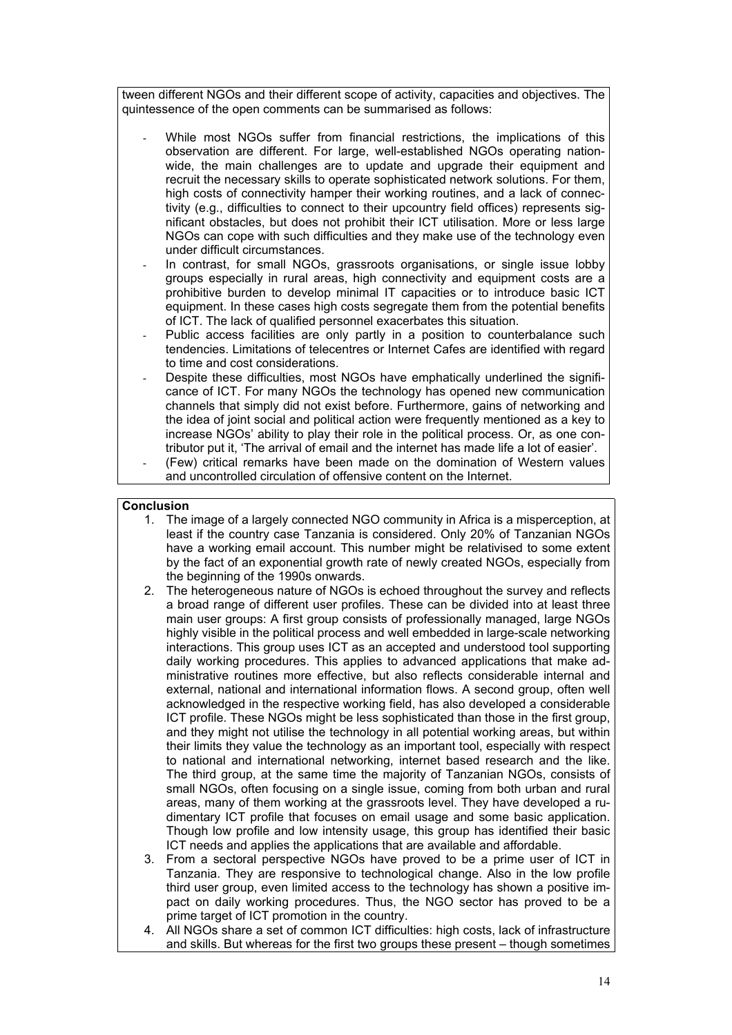tween different NGOs and their different scope of activity, capacities and objectives. The quintessence of the open comments can be summarised as follows:

- While most NGOs suffer from financial restrictions, the implications of this observation are different. For large, well-established NGOs operating nationwide, the main challenges are to update and upgrade their equipment and recruit the necessary skills to operate sophisticated network solutions. For them, high costs of connectivity hamper their working routines, and a lack of connectivity (e.g., difficulties to connect to their upcountry field offices) represents significant obstacles, but does not prohibit their ICT utilisation. More or less large NGOs can cope with such difficulties and they make use of the technology even under difficult circumstances.
- In contrast, for small NGOs, grassroots organisations, or single issue lobby groups especially in rural areas, high connectivity and equipment costs are a prohibitive burden to develop minimal IT capacities or to introduce basic ICT equipment. In these cases high costs segregate them from the potential benefits of ICT. The lack of qualified personnel exacerbates this situation.
- Public access facilities are only partly in a position to counterbalance such tendencies. Limitations of telecentres or Internet Cafes are identified with regard to time and cost considerations.
- Despite these difficulties, most NGOs have emphatically underlined the significance of ICT. For many NGOs the technology has opened new communication channels that simply did not exist before. Furthermore, gains of networking and the idea of joint social and political action were frequently mentioned as a key to increase NGOs' ability to play their role in the political process. Or, as one contributor put it, 'The arrival of email and the internet has made life a lot of easier'.

(Few) critical remarks have been made on the domination of Western values and uncontrolled circulation of offensive content on the Internet.

### **Conclusion**

- 1. The image of a largely connected NGO community in Africa is a misperception, at least if the country case Tanzania is considered. Only 20% of Tanzanian NGOs have a working email account. This number might be relativised to some extent by the fact of an exponential growth rate of newly created NGOs, especially from the beginning of the 1990s onwards.
- 2. The heterogeneous nature of NGOs is echoed throughout the survey and reflects a broad range of different user profiles. These can be divided into at least three main user groups: A first group consists of professionally managed, large NGOs highly visible in the political process and well embedded in large-scale networking interactions. This group uses ICT as an accepted and understood tool supporting daily working procedures. This applies to advanced applications that make administrative routines more effective, but also reflects considerable internal and external, national and international information flows. A second group, often well acknowledged in the respective working field, has also developed a considerable ICT profile. These NGOs might be less sophisticated than those in the first group, and they might not utilise the technology in all potential working areas, but within their limits they value the technology as an important tool, especially with respect to national and international networking, internet based research and the like. The third group, at the same time the majority of Tanzanian NGOs, consists of small NGOs, often focusing on a single issue, coming from both urban and rural areas, many of them working at the grassroots level. They have developed a rudimentary ICT profile that focuses on email usage and some basic application. Though low profile and low intensity usage, this group has identified their basic ICT needs and applies the applications that are available and affordable.
- 3. From a sectoral perspective NGOs have proved to be a prime user of ICT in Tanzania. They are responsive to technological change. Also in the low profile third user group, even limited access to the technology has shown a positive impact on daily working procedures. Thus, the NGO sector has proved to be a prime target of ICT promotion in the country.
- 4. All NGOs share a set of common ICT difficulties: high costs, lack of infrastructure and skills. But whereas for the first two groups these present – though sometimes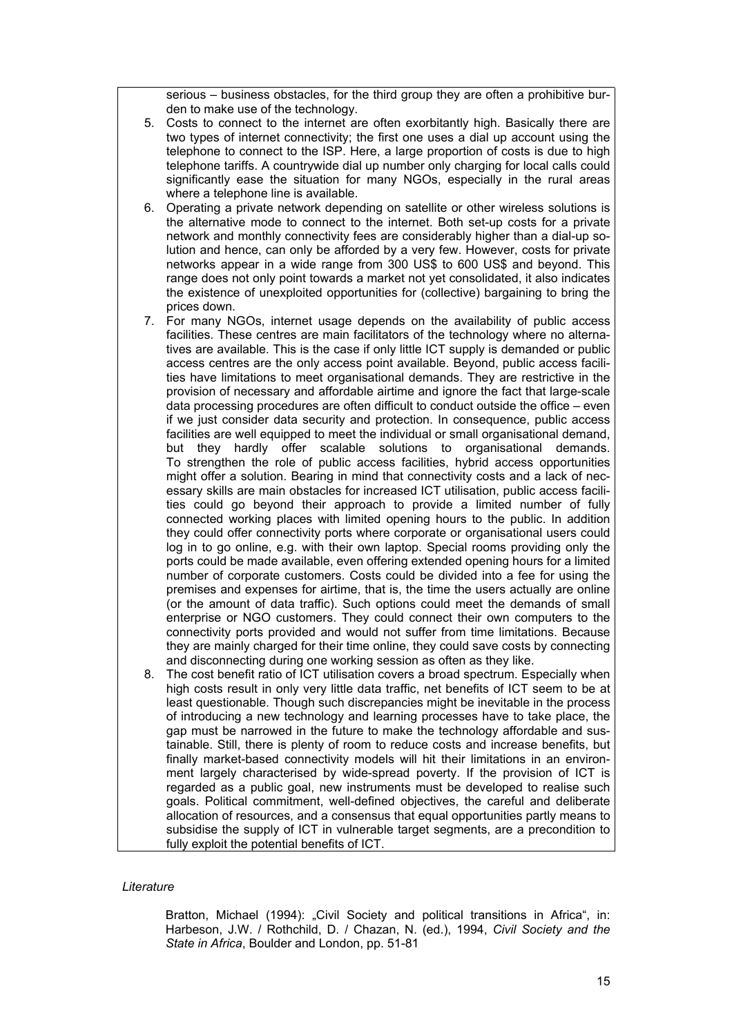serious – business obstacles, for the third group they are often a prohibitive burden to make use of the technology.

- 5. Costs to connect to the internet are often exorbitantly high. Basically there are two types of internet connectivity; the first one uses a dial up account using the telephone to connect to the ISP. Here, a large proportion of costs is due to high telephone tariffs. A countrywide dial up number only charging for local calls could significantly ease the situation for many NGOs, especially in the rural areas where a telephone line is available.
- 6. Operating a private network depending on satellite or other wireless solutions is the alternative mode to connect to the internet. Both set-up costs for a private network and monthly connectivity fees are considerably higher than a dial-up solution and hence, can only be afforded by a very few. However, costs for private networks appear in a wide range from 300 US\$ to 600 US\$ and beyond. This range does not only point towards a market not yet consolidated, it also indicates the existence of unexploited opportunities for (collective) bargaining to bring the prices down.
- 7. For many NGOs, internet usage depends on the availability of public access facilities. These centres are main facilitators of the technology where no alternatives are available. This is the case if only little ICT supply is demanded or public access centres are the only access point available. Beyond, public access facilities have limitations to meet organisational demands. They are restrictive in the provision of necessary and affordable airtime and ignore the fact that large-scale data processing procedures are often difficult to conduct outside the office – even if we just consider data security and protection. In consequence, public access facilities are well equipped to meet the individual or small organisational demand, but they hardly offer scalable solutions to organisational demands. To strengthen the role of public access facilities, hybrid access opportunities might offer a solution. Bearing in mind that connectivity costs and a lack of necessary skills are main obstacles for increased ICT utilisation, public access facilities could go beyond their approach to provide a limited number of fully connected working places with limited opening hours to the public. In addition they could offer connectivity ports where corporate or organisational users could log in to go online, e.g. with their own laptop. Special rooms providing only the ports could be made available, even offering extended opening hours for a limited number of corporate customers. Costs could be divided into a fee for using the premises and expenses for airtime, that is, the time the users actually are online (or the amount of data traffic). Such options could meet the demands of small enterprise or NGO customers. They could connect their own computers to the connectivity ports provided and would not suffer from time limitations. Because they are mainly charged for their time online, they could save costs by connecting and disconnecting during one working session as often as they like.
- 8. The cost benefit ratio of ICT utilisation covers a broad spectrum. Especially when high costs result in only very little data traffic, net benefits of ICT seem to be at least questionable. Though such discrepancies might be inevitable in the process of introducing a new technology and learning processes have to take place, the gap must be narrowed in the future to make the technology affordable and sustainable. Still, there is plenty of room to reduce costs and increase benefits, but finally market-based connectivity models will hit their limitations in an environment largely characterised by wide-spread poverty. If the provision of ICT is regarded as a public goal, new instruments must be developed to realise such goals. Political commitment, well-defined objectives, the careful and deliberate allocation of resources, and a consensus that equal opportunities partly means to subsidise the supply of ICT in vulnerable target segments, are a precondition to fully exploit the potential benefits of ICT.

#### *Literature*

Bratton, Michael (1994): "Civil Society and political transitions in Africa", in: Harbeson, J.W. / Rothchild, D. / Chazan, N. (ed.), 1994, *Civil Society and the State in Africa*, Boulder and London, pp. 51-81